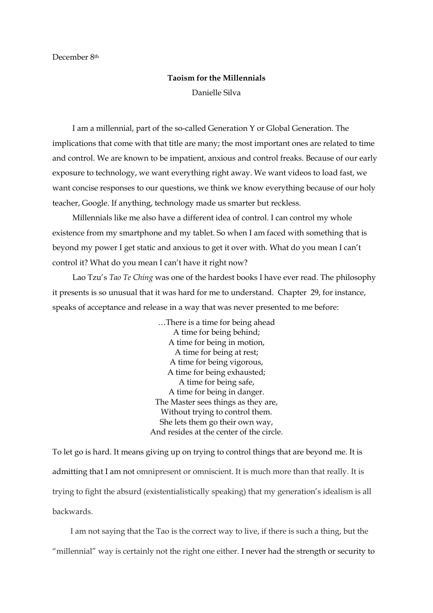December 8th

## **Taoism for the Millennials** Danielle Silva

 I am a millennial, part of the so-called Generation Y or Global Generation. The implications that come with that title are many; the most important ones are related to time and control. We are known to be impatient, anxious and control freaks. Because of our early exposure to technology, we want everything right away. We want videos to load fast, we want concise responses to our questions, we think we know everything because of our holy teacher, Google. If anything, technology made us smarter but reckless.

 Millennials like me also have a different idea of control. I can control my whole existence from my smartphone and my tablet. So when I am faced with something that is beyond my power I get static and anxious to get it over with. What do you mean I can't control it? What do you mean I can't have it right now?

 Lao Tzu's *Tao Te Ching* was one of the hardest books I have ever read. The philosophy it presents is so unusual that it was hard for me to understand. Chapter 29, for instance, speaks of acceptance and release in a way that was never presented to me before:

> …There is a time for being ahead A time for being behind; A time for being in motion, A time for being at rest; A time for being vigorous, A time for being exhausted; A time for being safe, A time for being in danger. The Master sees things as they are, Without trying to control them. She lets them go their own way, And resides at the center of the circle.

To let go is hard. It means giving up on trying to control things that are beyond me. It is admitting that I am not omnipresent or omniscient. It is much more than that really. It is trying to fight the absurd (existentialistically speaking) that my generation's idealism is all backwards.

 I am not saying that the Tao is the correct way to live, if there is such a thing, but the "millennial" way is certainly not the right one either. I never had the strength or security to